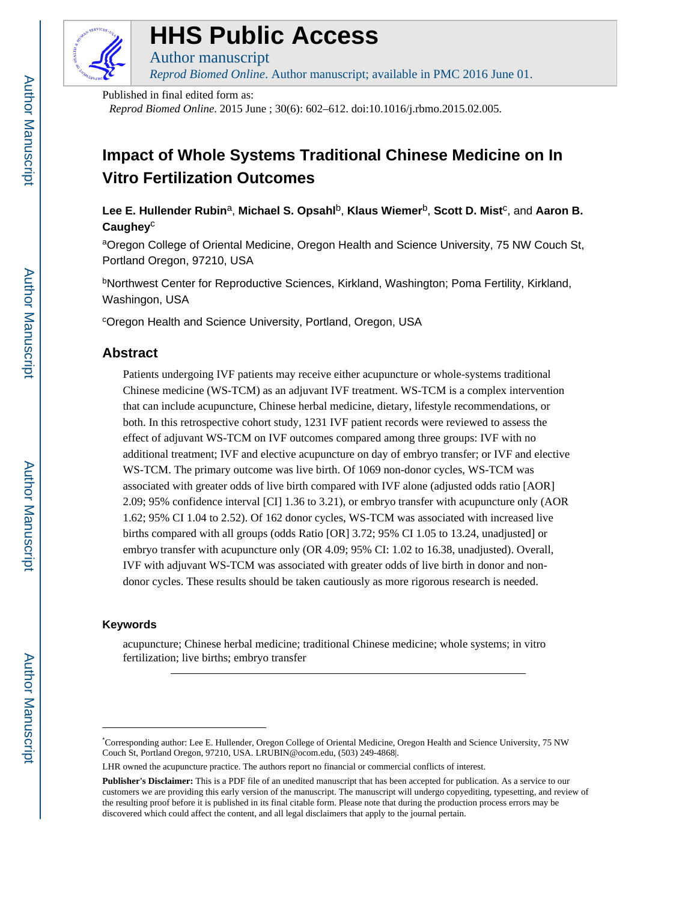

# **HHS Public Access**

*Reprod Biomed Online*. Author manuscript; available in PMC 2016 June 01.

Published in final edited form as:

Author manuscript

*Reprod Biomed Online*. 2015 June ; 30(6): 602–612. doi:10.1016/j.rbmo.2015.02.005.

# **Impact of Whole Systems Traditional Chinese Medicine on In Vitro Fertilization Outcomes**

Lee E. Hullender Rubin<sup>a</sup>, Michael S. Opsahl<sup>b</sup>, Klaus Wiemer<sup>b</sup>, Scott D. Mist<sup>c</sup>, and Aaron B. **Caughey**<sup>c</sup>

aOregon College of Oriental Medicine, Oregon Health and Science University, 75 NW Couch St, Portland Oregon, 97210, USA

<sup>b</sup>Northwest Center for Reproductive Sciences, Kirkland, Washington; Poma Fertility, Kirkland, Washingon, USA

<sup>c</sup>Oregon Health and Science University, Portland, Oregon, USA

## **Abstract**

Patients undergoing IVF patients may receive either acupuncture or whole-systems traditional Chinese medicine (WS-TCM) as an adjuvant IVF treatment. WS-TCM is a complex intervention that can include acupuncture, Chinese herbal medicine, dietary, lifestyle recommendations, or both. In this retrospective cohort study, 1231 IVF patient records were reviewed to assess the effect of adjuvant WS-TCM on IVF outcomes compared among three groups: IVF with no additional treatment; IVF and elective acupuncture on day of embryo transfer; or IVF and elective WS-TCM. The primary outcome was live birth. Of 1069 non-donor cycles, WS-TCM was associated with greater odds of live birth compared with IVF alone (adjusted odds ratio [AOR] 2.09; 95% confidence interval [CI] 1.36 to 3.21), or embryo transfer with acupuncture only (AOR 1.62; 95% CI 1.04 to 2.52). Of 162 donor cycles, WS-TCM was associated with increased live births compared with all groups (odds Ratio [OR] 3.72; 95% CI 1.05 to 13.24, unadjusted] or embryo transfer with acupuncture only (OR 4.09; 95% CI: 1.02 to 16.38, unadjusted). Overall, IVF with adjuvant WS-TCM was associated with greater odds of live birth in donor and nondonor cycles. These results should be taken cautiously as more rigorous research is needed.

## **Keywords**

acupuncture; Chinese herbal medicine; traditional Chinese medicine; whole systems; in vitro fertilization; live births; embryo transfer

<sup>\*</sup>Corresponding author: Lee E. Hullender, Oregon College of Oriental Medicine, Oregon Health and Science University, 75 NW Couch St, Portland Oregon, 97210, USA. LRUBIN@ocom.edu, (503) 249-4868|.

LHR owned the acupuncture practice. The authors report no financial or commercial conflicts of interest.

**Publisher's Disclaimer:** This is a PDF file of an unedited manuscript that has been accepted for publication. As a service to our customers we are providing this early version of the manuscript. The manuscript will undergo copyediting, typesetting, and review of the resulting proof before it is published in its final citable form. Please note that during the production process errors may be discovered which could affect the content, and all legal disclaimers that apply to the journal pertain.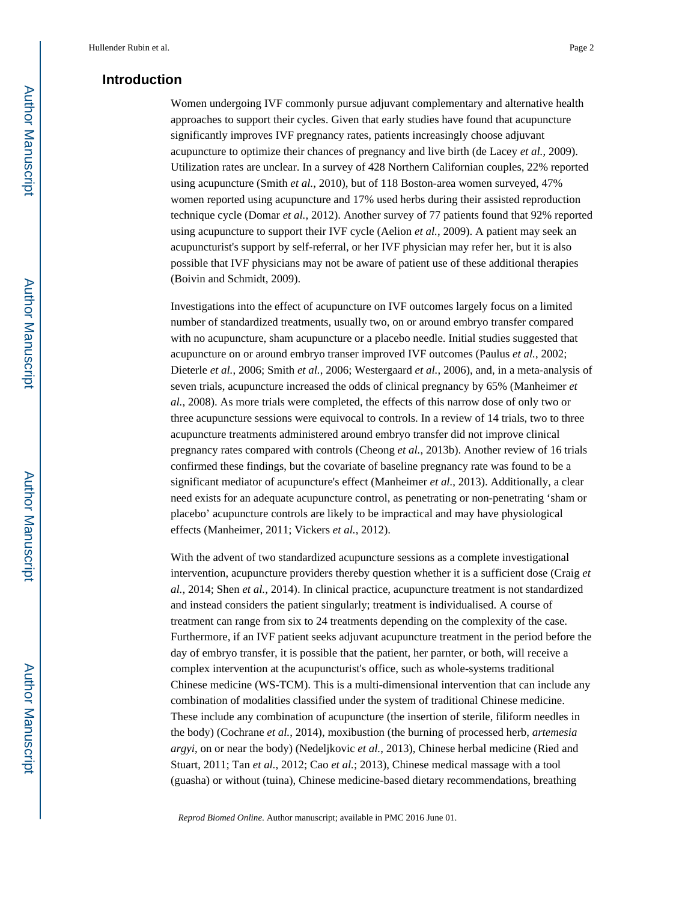## **Introduction**

Women undergoing IVF commonly pursue adjuvant complementary and alternative health approaches to support their cycles. Given that early studies have found that acupuncture significantly improves IVF pregnancy rates, patients increasingly choose adjuvant acupuncture to optimize their chances of pregnancy and live birth (de Lacey *et al.*, 2009). Utilization rates are unclear. In a survey of 428 Northern Californian couples, 22% reported using acupuncture (Smith *et al.*, 2010), but of 118 Boston-area women surveyed, 47% women reported using acupuncture and 17% used herbs during their assisted reproduction technique cycle (Domar *et al.*, 2012). Another survey of 77 patients found that 92% reported using acupuncture to support their IVF cycle (Aelion *et al.*, 2009). A patient may seek an acupuncturist's support by self-referral, or her IVF physician may refer her, but it is also possible that IVF physicians may not be aware of patient use of these additional therapies (Boivin and Schmidt, 2009).

Investigations into the effect of acupuncture on IVF outcomes largely focus on a limited number of standardized treatments, usually two, on or around embryo transfer compared with no acupuncture, sham acupuncture or a placebo needle. Initial studies suggested that acupuncture on or around embryo transer improved IVF outcomes (Paulus *et al.*, 2002; Dieterle *et al.*, 2006; Smith *et al.*, 2006; Westergaard *et al.*, 2006), and, in a meta-analysis of seven trials, acupuncture increased the odds of clinical pregnancy by 65% (Manheimer *et al.*, 2008). As more trials were completed, the effects of this narrow dose of only two or three acupuncture sessions were equivocal to controls. In a review of 14 trials, two to three acupuncture treatments administered around embryo transfer did not improve clinical pregnancy rates compared with controls (Cheong *et al.*, 2013b). Another review of 16 trials confirmed these findings, but the covariate of baseline pregnancy rate was found to be a significant mediator of acupuncture's effect (Manheimer *et al.*, 2013). Additionally, a clear need exists for an adequate acupuncture control, as penetrating or non-penetrating 'sham or placebo' acupuncture controls are likely to be impractical and may have physiological effects (Manheimer, 2011; Vickers *et al.*, 2012).

With the advent of two standardized acupuncture sessions as a complete investigational intervention, acupuncture providers thereby question whether it is a sufficient dose (Craig *et al.*, 2014; Shen *et al.*, 2014). In clinical practice, acupuncture treatment is not standardized and instead considers the patient singularly; treatment is individualised. A course of treatment can range from six to 24 treatments depending on the complexity of the case. Furthermore, if an IVF patient seeks adjuvant acupuncture treatment in the period before the day of embryo transfer, it is possible that the patient, her parnter, or both, will receive a complex intervention at the acupuncturist's office, such as whole-systems traditional Chinese medicine (WS-TCM). This is a multi-dimensional intervention that can include any combination of modalities classified under the system of traditional Chinese medicine. These include any combination of acupuncture (the insertion of sterile, filiform needles in the body) (Cochrane *et al.*, 2014), moxibustion (the burning of processed herb, *artemesia argyi*, on or near the body) (Nedeljkovic *et al.*, 2013), Chinese herbal medicine (Ried and Stuart, 2011; Tan *et al.*, 2012; Cao *et al.*; 2013), Chinese medical massage with a tool (guasha) or without (tuina), Chinese medicine-based dietary recommendations, breathing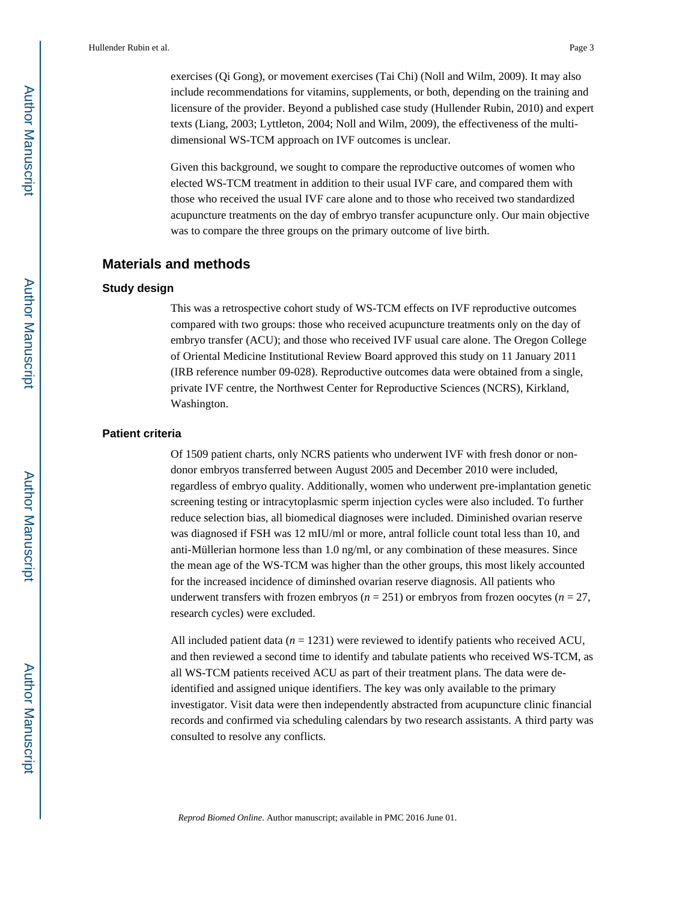exercises (Qi Gong), or movement exercises (Tai Chi) (Noll and Wilm, 2009). It may also include recommendations for vitamins, supplements, or both, depending on the training and licensure of the provider. Beyond a published case study (Hullender Rubin, 2010) and expert texts (Liang, 2003; Lyttleton, 2004; Noll and Wilm, 2009), the effectiveness of the multidimensional WS-TCM approach on IVF outcomes is unclear.

Given this background, we sought to compare the reproductive outcomes of women who elected WS-TCM treatment in addition to their usual IVF care, and compared them with those who received the usual IVF care alone and to those who received two standardized acupuncture treatments on the day of embryo transfer acupuncture only. Our main objective was to compare the three groups on the primary outcome of live birth.

#### **Materials and methods**

#### **Study design**

This was a retrospective cohort study of WS-TCM effects on IVF reproductive outcomes compared with two groups: those who received acupuncture treatments only on the day of embryo transfer (ACU); and those who received IVF usual care alone. The Oregon College of Oriental Medicine Institutional Review Board approved this study on 11 January 2011 (IRB reference number 09-028). Reproductive outcomes data were obtained from a single, private IVF centre, the Northwest Center for Reproductive Sciences (NCRS), Kirkland, Washington.

#### **Patient criteria**

Of 1509 patient charts, only NCRS patients who underwent IVF with fresh donor or nondonor embryos transferred between August 2005 and December 2010 were included, regardless of embryo quality. Additionally, women who underwent pre-implantation genetic screening testing or intracytoplasmic sperm injection cycles were also included. To further reduce selection bias, all biomedical diagnoses were included. Diminished ovarian reserve was diagnosed if FSH was 12 mIU/ml or more, antral follicle count total less than 10, and anti-Müllerian hormone less than 1.0 ng/ml, or any combination of these measures. Since the mean age of the WS-TCM was higher than the other groups, this most likely accounted for the increased incidence of diminshed ovarian reserve diagnosis. All patients who underwent transfers with frozen embryos ( $n = 251$ ) or embryos from frozen oocytes ( $n = 27$ , research cycles) were excluded.

All included patient data  $(n = 1231)$  were reviewed to identify patients who received ACU, and then reviewed a second time to identify and tabulate patients who received WS-TCM, as all WS-TCM patients received ACU as part of their treatment plans. The data were deidentified and assigned unique identifiers. The key was only available to the primary investigator. Visit data were then independently abstracted from acupuncture clinic financial records and confirmed via scheduling calendars by two research assistants. A third party was consulted to resolve any conflicts.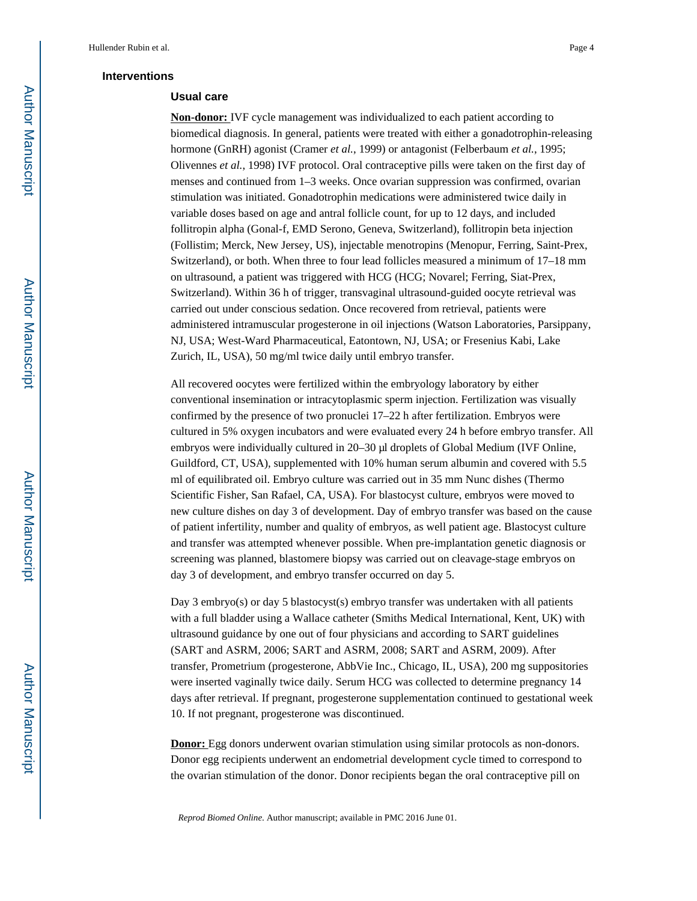#### **Interventions**

#### **Usual care**

**Non-donor:** IVF cycle management was individualized to each patient according to biomedical diagnosis. In general, patients were treated with either a gonadotrophin-releasing hormone (GnRH) agonist (Cramer *et al.*, 1999) or antagonist (Felberbaum *et al.*, 1995; Olivennes *et al.*, 1998) IVF protocol. Oral contraceptive pills were taken on the first day of menses and continued from 1–3 weeks. Once ovarian suppression was confirmed, ovarian stimulation was initiated. Gonadotrophin medications were administered twice daily in variable doses based on age and antral follicle count, for up to 12 days, and included follitropin alpha (Gonal-f, EMD Serono, Geneva, Switzerland), follitropin beta injection (Follistim; Merck, New Jersey, US), injectable menotropins (Menopur, Ferring, Saint-Prex, Switzerland), or both. When three to four lead follicles measured a minimum of 17–18 mm on ultrasound, a patient was triggered with HCG (HCG; Novarel; Ferring, Siat-Prex, Switzerland). Within 36 h of trigger, transvaginal ultrasound-guided oocyte retrieval was carried out under conscious sedation. Once recovered from retrieval, patients were administered intramuscular progesterone in oil injections (Watson Laboratories, Parsippany, NJ, USA; West-Ward Pharmaceutical, Eatontown, NJ, USA; or Fresenius Kabi, Lake Zurich, IL, USA), 50 mg/ml twice daily until embryo transfer.

All recovered oocytes were fertilized within the embryology laboratory by either conventional insemination or intracytoplasmic sperm injection. Fertilization was visually confirmed by the presence of two pronuclei 17–22 h after fertilization. Embryos were cultured in 5% oxygen incubators and were evaluated every 24 h before embryo transfer. All embryos were individually cultured in 20–30 μl droplets of Global Medium (IVF Online, Guildford, CT, USA), supplemented with 10% human serum albumin and covered with 5.5 ml of equilibrated oil. Embryo culture was carried out in 35 mm Nunc dishes (Thermo Scientific Fisher, San Rafael, CA, USA). For blastocyst culture, embryos were moved to new culture dishes on day 3 of development. Day of embryo transfer was based on the cause of patient infertility, number and quality of embryos, as well patient age. Blastocyst culture and transfer was attempted whenever possible. When pre-implantation genetic diagnosis or screening was planned, blastomere biopsy was carried out on cleavage-stage embryos on day 3 of development, and embryo transfer occurred on day 5.

Day 3 embryo(s) or day 5 blastocyst(s) embryo transfer was undertaken with all patients with a full bladder using a Wallace catheter (Smiths Medical International, Kent, UK) with ultrasound guidance by one out of four physicians and according to SART guidelines (SART and ASRM, 2006; SART and ASRM, 2008; SART and ASRM, 2009). After transfer, Prometrium (progesterone, AbbVie Inc., Chicago, IL, USA), 200 mg suppositories were inserted vaginally twice daily. Serum HCG was collected to determine pregnancy 14 days after retrieval. If pregnant, progesterone supplementation continued to gestational week 10. If not pregnant, progesterone was discontinued.

**Donor:** Egg donors underwent ovarian stimulation using similar protocols as non-donors. Donor egg recipients underwent an endometrial development cycle timed to correspond to the ovarian stimulation of the donor. Donor recipients began the oral contraceptive pill on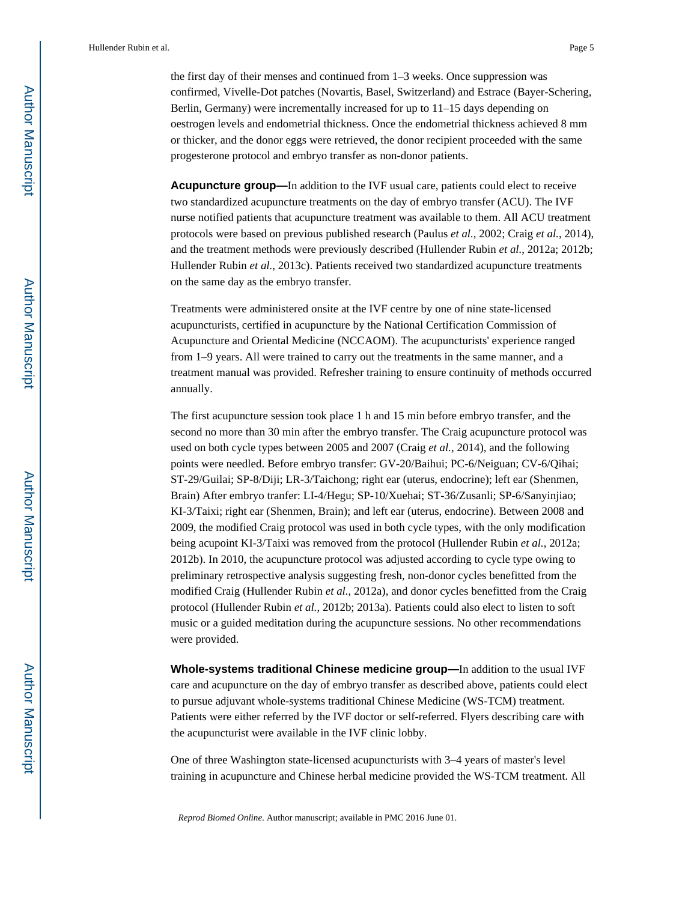the first day of their menses and continued from 1–3 weeks. Once suppression was confirmed, Vivelle-Dot patches (Novartis, Basel, Switzerland) and Estrace (Bayer-Schering, Berlin, Germany) were incrementally increased for up to 11–15 days depending on oestrogen levels and endometrial thickness. Once the endometrial thickness achieved 8 mm or thicker, and the donor eggs were retrieved, the donor recipient proceeded with the same progesterone protocol and embryo transfer as non-donor patients.

**Acupuncture group—**In addition to the IVF usual care, patients could elect to receive two standardized acupuncture treatments on the day of embryo transfer (ACU). The IVF nurse notified patients that acupuncture treatment was available to them. All ACU treatment protocols were based on previous published research (Paulus *et al.*, 2002; Craig *et al.*, 2014), and the treatment methods were previously described (Hullender Rubin *et al.*, 2012a; 2012b; Hullender Rubin *et al.*, 2013c). Patients received two standardized acupuncture treatments on the same day as the embryo transfer.

Treatments were administered onsite at the IVF centre by one of nine state-licensed acupuncturists, certified in acupuncture by the National Certification Commission of Acupuncture and Oriental Medicine (NCCAOM). The acupuncturists' experience ranged from 1–9 years. All were trained to carry out the treatments in the same manner, and a treatment manual was provided. Refresher training to ensure continuity of methods occurred annually.

The first acupuncture session took place 1 h and 15 min before embryo transfer, and the second no more than 30 min after the embryo transfer. The Craig acupuncture protocol was used on both cycle types between 2005 and 2007 (Craig *et al.*, 2014), and the following points were needled. Before embryo transfer: GV-20/Baihui; PC-6/Neiguan; CV-6/Qihai; ST-29/Guilai; SP-8/Diji; LR-3/Taichong; right ear (uterus, endocrine); left ear (Shenmen, Brain) After embryo tranfer: LI-4/Hegu; SP-10/Xuehai; ST-36/Zusanli; SP-6/Sanyinjiao; KI-3/Taixi; right ear (Shenmen, Brain); and left ear (uterus, endocrine). Between 2008 and 2009, the modified Craig protocol was used in both cycle types, with the only modification being acupoint KI-3/Taixi was removed from the protocol (Hullender Rubin *et al.*, 2012a; 2012b). In 2010, the acupuncture protocol was adjusted according to cycle type owing to preliminary retrospective analysis suggesting fresh, non-donor cycles benefitted from the modified Craig (Hullender Rubin *et al.*, 2012a), and donor cycles benefitted from the Craig protocol (Hullender Rubin *et al.*, 2012b; 2013a). Patients could also elect to listen to soft music or a guided meditation during the acupuncture sessions. No other recommendations were provided.

**Whole-systems traditional Chinese medicine group—**In addition to the usual IVF care and acupuncture on the day of embryo transfer as described above, patients could elect to pursue adjuvant whole-systems traditional Chinese Medicine (WS-TCM) treatment. Patients were either referred by the IVF doctor or self-referred. Flyers describing care with the acupuncturist were available in the IVF clinic lobby.

One of three Washington state-licensed acupuncturists with 3–4 years of master's level training in acupuncture and Chinese herbal medicine provided the WS-TCM treatment. All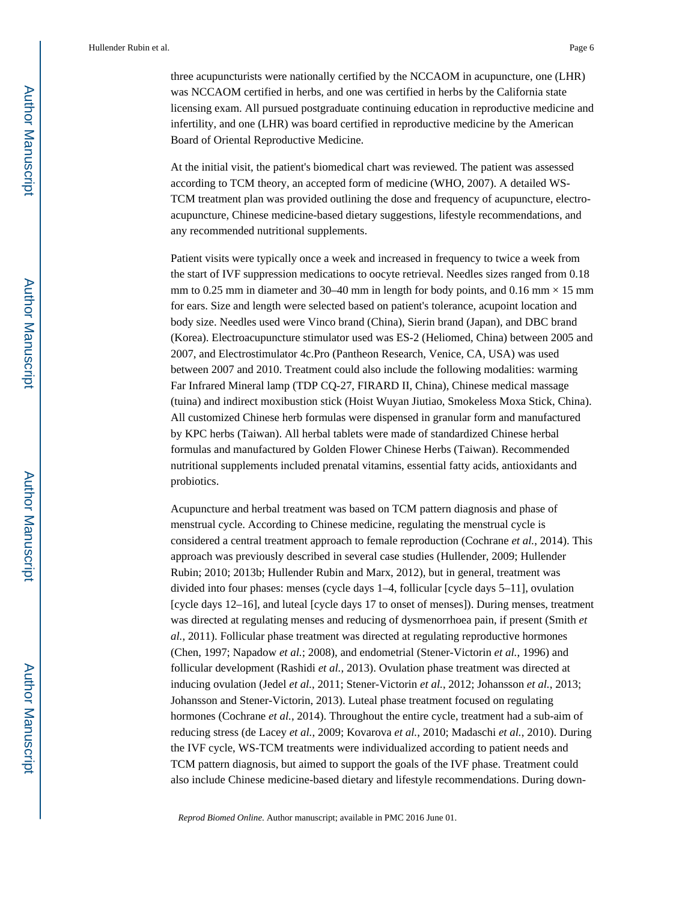three acupuncturists were nationally certified by the NCCAOM in acupuncture, one (LHR) was NCCAOM certified in herbs, and one was certified in herbs by the California state licensing exam. All pursued postgraduate continuing education in reproductive medicine and infertility, and one (LHR) was board certified in reproductive medicine by the American Board of Oriental Reproductive Medicine.

At the initial visit, the patient's biomedical chart was reviewed. The patient was assessed according to TCM theory, an accepted form of medicine (WHO, 2007). A detailed WS-TCM treatment plan was provided outlining the dose and frequency of acupuncture, electroacupuncture, Chinese medicine-based dietary suggestions, lifestyle recommendations, and any recommended nutritional supplements.

Patient visits were typically once a week and increased in frequency to twice a week from the start of IVF suppression medications to oocyte retrieval. Needles sizes ranged from 0.18 mm to 0.25 mm in diameter and 30–40 mm in length for body points, and 0.16 mm  $\times$  15 mm for ears. Size and length were selected based on patient's tolerance, acupoint location and body size. Needles used were Vinco brand (China), Sierin brand (Japan), and DBC brand (Korea). Electroacupuncture stimulator used was ES-2 (Heliomed, China) between 2005 and 2007, and Electrostimulator 4c.Pro (Pantheon Research, Venice, CA, USA) was used between 2007 and 2010. Treatment could also include the following modalities: warming Far Infrared Mineral lamp (TDP CQ-27, FIRARD II, China), Chinese medical massage (tuina) and indirect moxibustion stick (Hoist Wuyan Jiutiao, Smokeless Moxa Stick, China). All customized Chinese herb formulas were dispensed in granular form and manufactured by KPC herbs (Taiwan). All herbal tablets were made of standardized Chinese herbal formulas and manufactured by Golden Flower Chinese Herbs (Taiwan). Recommended nutritional supplements included prenatal vitamins, essential fatty acids, antioxidants and probiotics.

Acupuncture and herbal treatment was based on TCM pattern diagnosis and phase of menstrual cycle. According to Chinese medicine, regulating the menstrual cycle is considered a central treatment approach to female reproduction (Cochrane *et al.*, 2014). This approach was previously described in several case studies (Hullender, 2009; Hullender Rubin; 2010; 2013b; Hullender Rubin and Marx, 2012), but in general, treatment was divided into four phases: menses (cycle days 1–4, follicular [cycle days 5–11], ovulation [cycle days 12–16], and luteal [cycle days 17 to onset of menses]). During menses, treatment was directed at regulating menses and reducing of dysmenorrhoea pain, if present (Smith *et al.*, 2011). Follicular phase treatment was directed at regulating reproductive hormones (Chen, 1997; Napadow *et al.*; 2008), and endometrial (Stener-Victorin *et al.*, 1996) and follicular development (Rashidi *et al.*, 2013). Ovulation phase treatment was directed at inducing ovulation (Jedel *et al.*, 2011; Stener-Victorin *et al.*, 2012; Johansson *et al.*, 2013; Johansson and Stener-Victorin, 2013). Luteal phase treatment focused on regulating hormones (Cochrane *et al.*, 2014). Throughout the entire cycle, treatment had a sub-aim of reducing stress (de Lacey *et al.*, 2009; Kovarova *et al.*, 2010; Madaschi *et al.*, 2010). During the IVF cycle, WS-TCM treatments were individualized according to patient needs and TCM pattern diagnosis, but aimed to support the goals of the IVF phase. Treatment could also include Chinese medicine-based dietary and lifestyle recommendations. During down-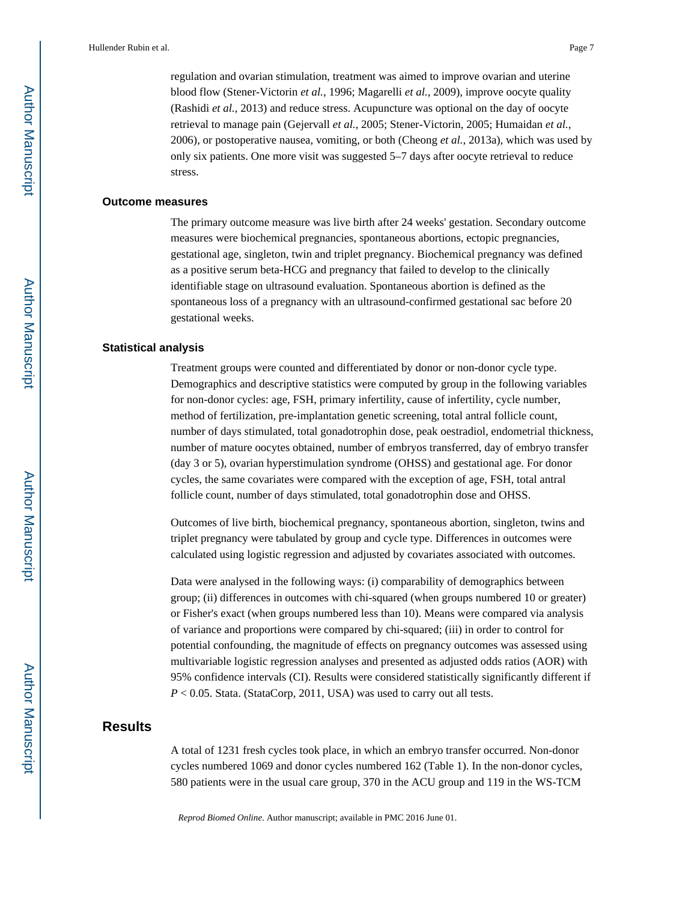regulation and ovarian stimulation, treatment was aimed to improve ovarian and uterine blood flow (Stener-Victorin *et al.*, 1996; Magarelli *et al.*, 2009), improve oocyte quality (Rashidi *et al.*, 2013) and reduce stress. Acupuncture was optional on the day of oocyte retrieval to manage pain (Gejervall *et al.*, 2005; Stener-Victorin, 2005; Humaidan *et al.*, 2006), or postoperative nausea, vomiting, or both (Cheong *et al.*, 2013a), which was used by only six patients. One more visit was suggested 5–7 days after oocyte retrieval to reduce stress.

#### **Outcome measures**

The primary outcome measure was live birth after 24 weeks' gestation. Secondary outcome measures were biochemical pregnancies, spontaneous abortions, ectopic pregnancies, gestational age, singleton, twin and triplet pregnancy. Biochemical pregnancy was defined as a positive serum beta-HCG and pregnancy that failed to develop to the clinically identifiable stage on ultrasound evaluation. Spontaneous abortion is defined as the spontaneous loss of a pregnancy with an ultrasound-confirmed gestational sac before 20 gestational weeks.

#### **Statistical analysis**

Treatment groups were counted and differentiated by donor or non-donor cycle type. Demographics and descriptive statistics were computed by group in the following variables for non-donor cycles: age, FSH, primary infertility, cause of infertility, cycle number, method of fertilization, pre-implantation genetic screening, total antral follicle count, number of days stimulated, total gonadotrophin dose, peak oestradiol, endometrial thickness, number of mature oocytes obtained, number of embryos transferred, day of embryo transfer (day 3 or 5), ovarian hyperstimulation syndrome (OHSS) and gestational age. For donor cycles, the same covariates were compared with the exception of age, FSH, total antral follicle count, number of days stimulated, total gonadotrophin dose and OHSS.

Outcomes of live birth, biochemical pregnancy, spontaneous abortion, singleton, twins and triplet pregnancy were tabulated by group and cycle type. Differences in outcomes were calculated using logistic regression and adjusted by covariates associated with outcomes.

Data were analysed in the following ways: (i) comparability of demographics between group; (ii) differences in outcomes with chi-squared (when groups numbered 10 or greater) or Fisher's exact (when groups numbered less than 10). Means were compared via analysis of variance and proportions were compared by chi-squared; (iii) in order to control for potential confounding, the magnitude of effects on pregnancy outcomes was assessed using multivariable logistic regression analyses and presented as adjusted odds ratios (AOR) with 95% confidence intervals (CI). Results were considered statistically significantly different if *P* < 0.05. Stata. (StataCorp, 2011, USA) was used to carry out all tests.

## **Results**

A total of 1231 fresh cycles took place, in which an embryo transfer occurred. Non-donor cycles numbered 1069 and donor cycles numbered 162 (Table 1). In the non-donor cycles, 580 patients were in the usual care group, 370 in the ACU group and 119 in the WS-TCM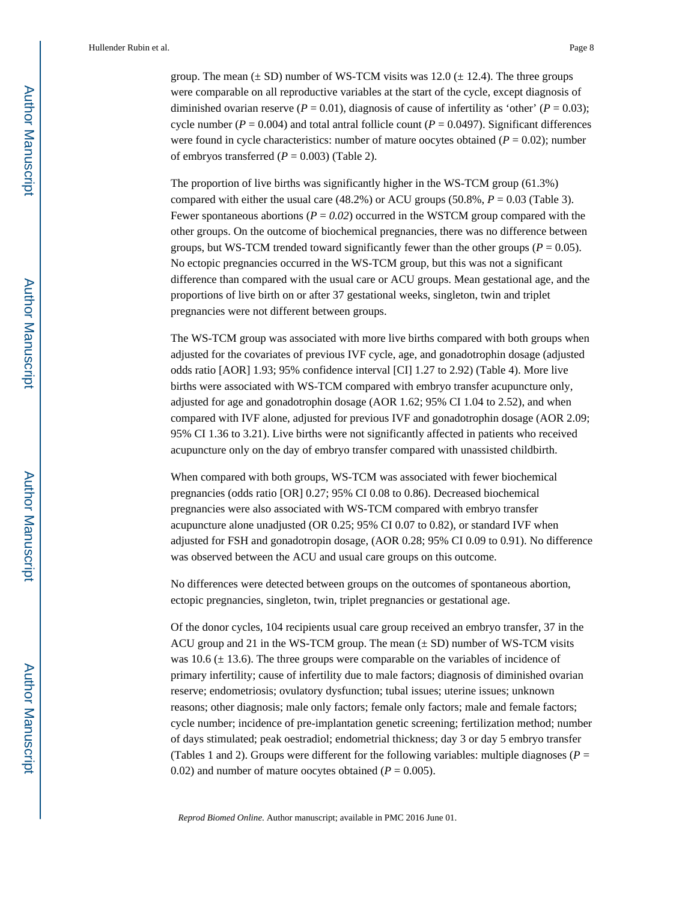group. The mean  $(\pm SD)$  number of WS-TCM visits was 12.0  $(\pm 12.4)$ . The three groups were comparable on all reproductive variables at the start of the cycle, except diagnosis of diminished ovarian reserve ( $P = 0.01$ ), diagnosis of cause of infertility as 'other' ( $P = 0.03$ ); cycle number ( $P = 0.004$ ) and total antral follicle count ( $P = 0.0497$ ). Significant differences were found in cycle characteristics: number of mature oocytes obtained  $(P = 0.02)$ ; number of embryos transferred  $(P = 0.003)$  (Table 2).

The proportion of live births was significantly higher in the WS-TCM group (61.3%) compared with either the usual care  $(48.2%)$  or ACU groups  $(50.8%, P = 0.03$  (Table 3). Fewer spontaneous abortions ( $P = 0.02$ ) occurred in the WSTCM group compared with the other groups. On the outcome of biochemical pregnancies, there was no difference between groups, but WS-TCM trended toward significantly fewer than the other groups ( $P = 0.05$ ). No ectopic pregnancies occurred in the WS-TCM group, but this was not a significant difference than compared with the usual care or ACU groups. Mean gestational age, and the proportions of live birth on or after 37 gestational weeks, singleton, twin and triplet pregnancies were not different between groups.

The WS-TCM group was associated with more live births compared with both groups when adjusted for the covariates of previous IVF cycle, age, and gonadotrophin dosage (adjusted odds ratio [AOR] 1.93; 95% confidence interval [CI] 1.27 to 2.92) (Table 4). More live births were associated with WS-TCM compared with embryo transfer acupuncture only, adjusted for age and gonadotrophin dosage (AOR 1.62; 95% CI 1.04 to 2.52), and when compared with IVF alone, adjusted for previous IVF and gonadotrophin dosage (AOR 2.09; 95% CI 1.36 to 3.21). Live births were not significantly affected in patients who received acupuncture only on the day of embryo transfer compared with unassisted childbirth.

When compared with both groups, WS-TCM was associated with fewer biochemical pregnancies (odds ratio [OR] 0.27; 95% CI 0.08 to 0.86). Decreased biochemical pregnancies were also associated with WS-TCM compared with embryo transfer acupuncture alone unadjusted (OR 0.25; 95% CI 0.07 to 0.82), or standard IVF when adjusted for FSH and gonadotropin dosage, (AOR 0.28; 95% CI 0.09 to 0.91). No difference was observed between the ACU and usual care groups on this outcome.

No differences were detected between groups on the outcomes of spontaneous abortion, ectopic pregnancies, singleton, twin, triplet pregnancies or gestational age.

Of the donor cycles, 104 recipients usual care group received an embryo transfer, 37 in the ACU group and 21 in the WS-TCM group. The mean  $(\pm SD)$  number of WS-TCM visits was  $10.6 \ (\pm 13.6)$ . The three groups were comparable on the variables of incidence of primary infertility; cause of infertility due to male factors; diagnosis of diminished ovarian reserve; endometriosis; ovulatory dysfunction; tubal issues; uterine issues; unknown reasons; other diagnosis; male only factors; female only factors; male and female factors; cycle number; incidence of pre-implantation genetic screening; fertilization method; number of days stimulated; peak oestradiol; endometrial thickness; day 3 or day 5 embryo transfer (Tables 1 and 2). Groups were different for the following variables: multiple diagnoses ( $P =$ 0.02) and number of mature oocytes obtained  $(P = 0.005)$ .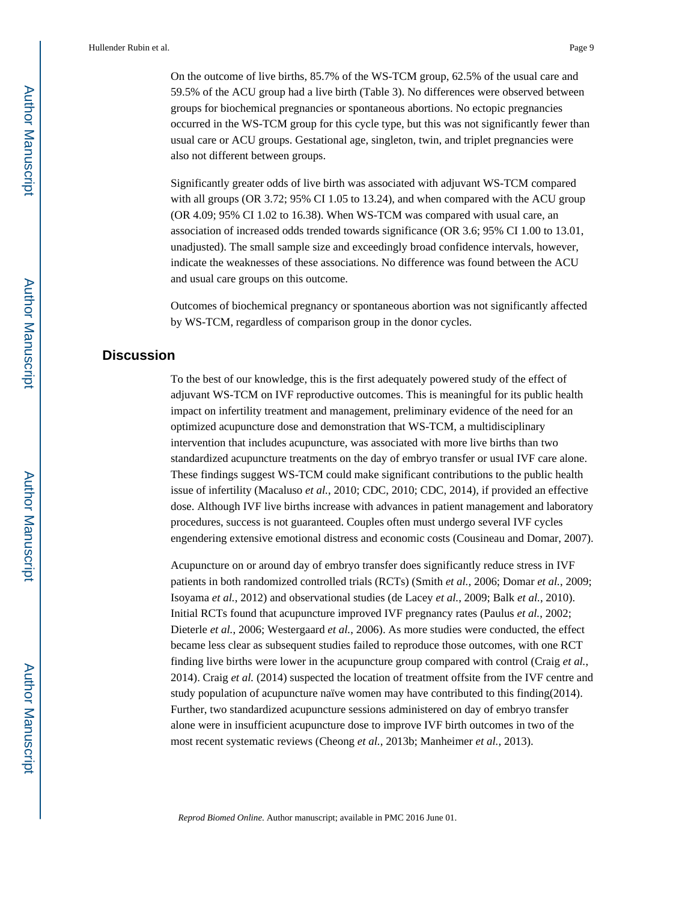On the outcome of live births, 85.7% of the WS-TCM group, 62.5% of the usual care and 59.5% of the ACU group had a live birth (Table 3). No differences were observed between groups for biochemical pregnancies or spontaneous abortions. No ectopic pregnancies occurred in the WS-TCM group for this cycle type, but this was not significantly fewer than usual care or ACU groups. Gestational age, singleton, twin, and triplet pregnancies were also not different between groups.

Significantly greater odds of live birth was associated with adjuvant WS-TCM compared with all groups (OR 3.72; 95% CI 1.05 to 13.24), and when compared with the ACU group (OR 4.09; 95% CI 1.02 to 16.38). When WS-TCM was compared with usual care, an association of increased odds trended towards significance (OR 3.6; 95% CI 1.00 to 13.01, unadjusted). The small sample size and exceedingly broad confidence intervals, however, indicate the weaknesses of these associations. No difference was found between the ACU and usual care groups on this outcome.

Outcomes of biochemical pregnancy or spontaneous abortion was not significantly affected by WS-TCM, regardless of comparison group in the donor cycles.

## **Discussion**

To the best of our knowledge, this is the first adequately powered study of the effect of adjuvant WS-TCM on IVF reproductive outcomes. This is meaningful for its public health impact on infertility treatment and management, preliminary evidence of the need for an optimized acupuncture dose and demonstration that WS-TCM, a multidisciplinary intervention that includes acupuncture, was associated with more live births than two standardized acupuncture treatments on the day of embryo transfer or usual IVF care alone. These findings suggest WS-TCM could make significant contributions to the public health issue of infertility (Macaluso *et al.*, 2010; CDC, 2010; CDC, 2014), if provided an effective dose. Although IVF live births increase with advances in patient management and laboratory procedures, success is not guaranteed. Couples often must undergo several IVF cycles engendering extensive emotional distress and economic costs (Cousineau and Domar, 2007).

Acupuncture on or around day of embryo transfer does significantly reduce stress in IVF patients in both randomized controlled trials (RCTs) (Smith *et al.*, 2006; Domar *et al.*, 2009; Isoyama *et al.*, 2012) and observational studies (de Lacey *et al.*, 2009; Balk *et al.*, 2010). Initial RCTs found that acupuncture improved IVF pregnancy rates (Paulus *et al.*, 2002; Dieterle *et al.*, 2006; Westergaard *et al.*, 2006). As more studies were conducted, the effect became less clear as subsequent studies failed to reproduce those outcomes, with one RCT finding live births were lower in the acupuncture group compared with control (Craig *et al.*, 2014). Craig *et al.* (2014) suspected the location of treatment offsite from the IVF centre and study population of acupuncture naïve women may have contributed to this finding(2014). Further, two standardized acupuncture sessions administered on day of embryo transfer alone were in insufficient acupuncture dose to improve IVF birth outcomes in two of the most recent systematic reviews (Cheong *et al.*, 2013b; Manheimer *et al.*, 2013).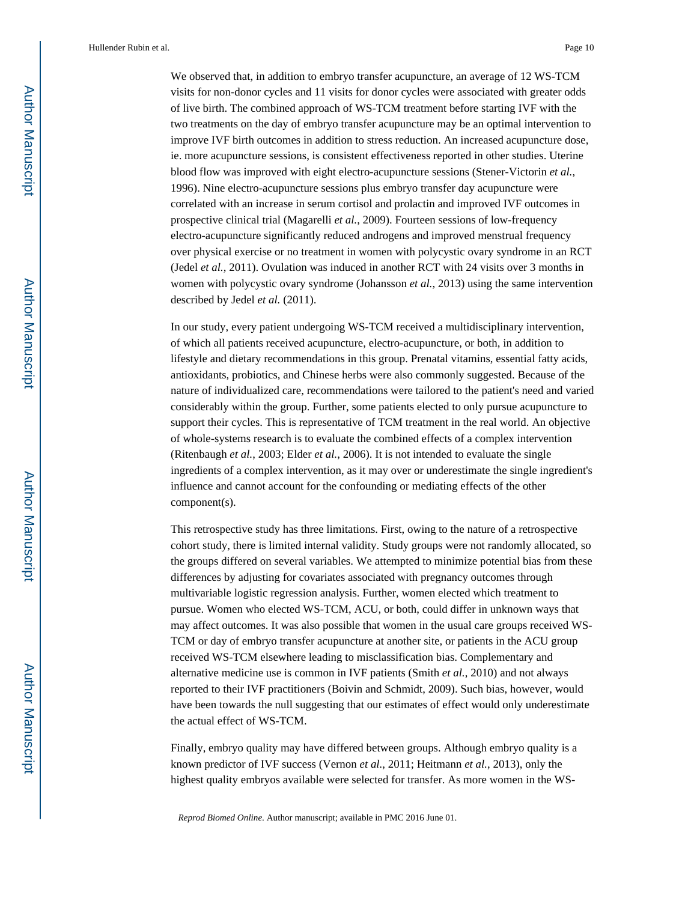We observed that, in addition to embryo transfer acupuncture, an average of 12 WS-TCM visits for non-donor cycles and 11 visits for donor cycles were associated with greater odds of live birth. The combined approach of WS-TCM treatment before starting IVF with the two treatments on the day of embryo transfer acupuncture may be an optimal intervention to improve IVF birth outcomes in addition to stress reduction. An increased acupuncture dose, ie. more acupuncture sessions, is consistent effectiveness reported in other studies. Uterine blood flow was improved with eight electro-acupuncture sessions (Stener-Victorin *et al.*, 1996). Nine electro-acupuncture sessions plus embryo transfer day acupuncture were correlated with an increase in serum cortisol and prolactin and improved IVF outcomes in prospective clinical trial (Magarelli *et al.*, 2009). Fourteen sessions of low-frequency electro-acupuncture significantly reduced androgens and improved menstrual frequency over physical exercise or no treatment in women with polycystic ovary syndrome in an RCT (Jedel *et al.*, 2011). Ovulation was induced in another RCT with 24 visits over 3 months in women with polycystic ovary syndrome (Johansson *et al.*, 2013) using the same intervention described by Jedel *et al.* (2011).

In our study, every patient undergoing WS-TCM received a multidisciplinary intervention, of which all patients received acupuncture, electro-acupuncture, or both, in addition to lifestyle and dietary recommendations in this group. Prenatal vitamins, essential fatty acids, antioxidants, probiotics, and Chinese herbs were also commonly suggested. Because of the nature of individualized care, recommendations were tailored to the patient's need and varied considerably within the group. Further, some patients elected to only pursue acupuncture to support their cycles. This is representative of TCM treatment in the real world. An objective of whole-systems research is to evaluate the combined effects of a complex intervention (Ritenbaugh *et al.*, 2003; Elder *et al.*, 2006). It is not intended to evaluate the single ingredients of a complex intervention, as it may over or underestimate the single ingredient's influence and cannot account for the confounding or mediating effects of the other component(s).

This retrospective study has three limitations. First, owing to the nature of a retrospective cohort study, there is limited internal validity. Study groups were not randomly allocated, so the groups differed on several variables. We attempted to minimize potential bias from these differences by adjusting for covariates associated with pregnancy outcomes through multivariable logistic regression analysis. Further, women elected which treatment to pursue. Women who elected WS-TCM, ACU, or both, could differ in unknown ways that may affect outcomes. It was also possible that women in the usual care groups received WS-TCM or day of embryo transfer acupuncture at another site, or patients in the ACU group received WS-TCM elsewhere leading to misclassification bias. Complementary and alternative medicine use is common in IVF patients (Smith *et al.*, 2010) and not always reported to their IVF practitioners (Boivin and Schmidt, 2009). Such bias, however, would have been towards the null suggesting that our estimates of effect would only underestimate the actual effect of WS-TCM.

Finally, embryo quality may have differed between groups. Although embryo quality is a known predictor of IVF success (Vernon *et al.*, 2011; Heitmann *et al.*, 2013), only the highest quality embryos available were selected for transfer. As more women in the WS-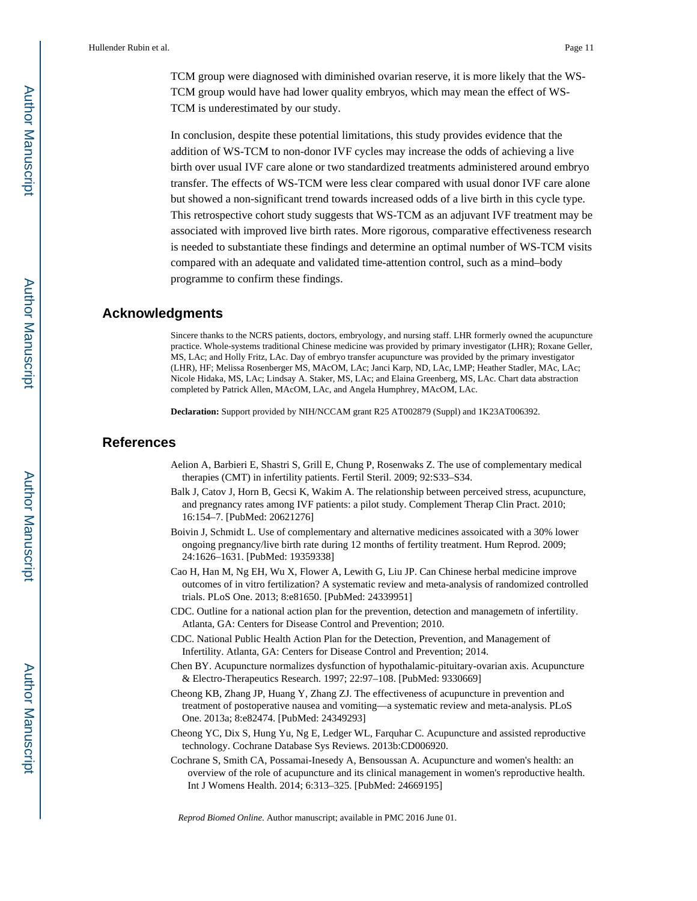TCM group were diagnosed with diminished ovarian reserve, it is more likely that the WS-TCM group would have had lower quality embryos, which may mean the effect of WS-TCM is underestimated by our study.

In conclusion, despite these potential limitations, this study provides evidence that the addition of WS-TCM to non-donor IVF cycles may increase the odds of achieving a live birth over usual IVF care alone or two standardized treatments administered around embryo transfer. The effects of WS-TCM were less clear compared with usual donor IVF care alone but showed a non-significant trend towards increased odds of a live birth in this cycle type. This retrospective cohort study suggests that WS-TCM as an adjuvant IVF treatment may be associated with improved live birth rates. More rigorous, comparative effectiveness research is needed to substantiate these findings and determine an optimal number of WS-TCM visits compared with an adequate and validated time-attention control, such as a mind–body programme to confirm these findings.

## **Acknowledgments**

Sincere thanks to the NCRS patients, doctors, embryology, and nursing staff. LHR formerly owned the acupuncture practice. Whole-systems traditional Chinese medicine was provided by primary investigator (LHR); Roxane Geller, MS, LAc; and Holly Fritz, LAc. Day of embryo transfer acupuncture was provided by the primary investigator (LHR), HF; Melissa Rosenberger MS, MAcOM, LAc; Janci Karp, ND, LAc, LMP; Heather Stadler, MAc, LAc; Nicole Hidaka, MS, LAc; Lindsay A. Staker, MS, LAc; and Elaina Greenberg, MS, LAc. Chart data abstraction completed by Patrick Allen, MAcOM, LAc, and Angela Humphrey, MAcOM, LAc.

**Declaration:** Support provided by NIH/NCCAM grant R25 AT002879 (Suppl) and 1K23AT006392.

#### **References**

- Aelion A, Barbieri E, Shastri S, Grill E, Chung P, Rosenwaks Z. The use of complementary medical therapies (CMT) in infertility patients. Fertil Steril. 2009; 92:S33–S34.
- Balk J, Catov J, Horn B, Gecsi K, Wakim A. The relationship between perceived stress, acupuncture, and pregnancy rates among IVF patients: a pilot study. Complement Therap Clin Pract. 2010; 16:154–7. [PubMed: 20621276]
- Boivin J, Schmidt L. Use of complementary and alternative medicines assoicated with a 30% lower ongoing pregnancy/live birth rate during 12 months of fertility treatment. Hum Reprod. 2009; 24:1626–1631. [PubMed: 19359338]
- Cao H, Han M, Ng EH, Wu X, Flower A, Lewith G, Liu JP. Can Chinese herbal medicine improve outcomes of in vitro fertilization? A systematic review and meta-analysis of randomized controlled trials. PLoS One. 2013; 8:e81650. [PubMed: 24339951]
- CDC. Outline for a national action plan for the prevention, detection and managemetn of infertility. Atlanta, GA: Centers for Disease Control and Prevention; 2010.
- CDC. National Public Health Action Plan for the Detection, Prevention, and Management of Infertility. Atlanta, GA: Centers for Disease Control and Prevention; 2014.
- Chen BY. Acupuncture normalizes dysfunction of hypothalamic-pituitary-ovarian axis. Acupuncture & Electro-Therapeutics Research. 1997; 22:97–108. [PubMed: 9330669]
- Cheong KB, Zhang JP, Huang Y, Zhang ZJ. The effectiveness of acupuncture in prevention and treatment of postoperative nausea and vomiting—a systematic review and meta-analysis. PLoS One. 2013a; 8:e82474. [PubMed: 24349293]
- Cheong YC, Dix S, Hung Yu, Ng E, Ledger WL, Farquhar C. Acupuncture and assisted reproductive technology. Cochrane Database Sys Reviews. 2013b:CD006920.
- Cochrane S, Smith CA, Possamai-Inesedy A, Bensoussan A. Acupuncture and women's health: an overview of the role of acupuncture and its clinical management in women's reproductive health. Int J Womens Health. 2014; 6:313–325. [PubMed: 24669195]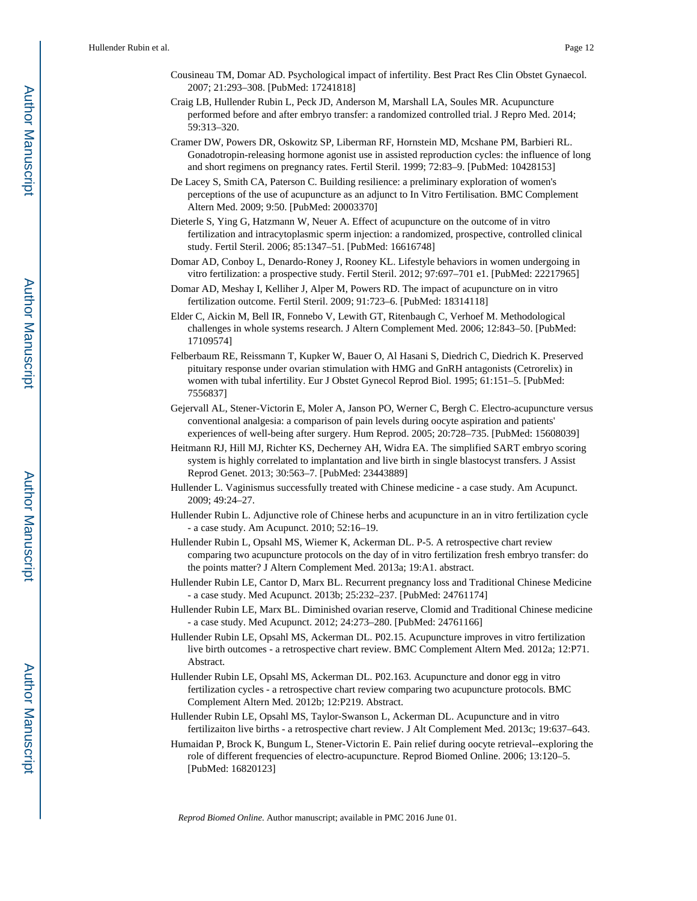- Cousineau TM, Domar AD. Psychological impact of infertility. Best Pract Res Clin Obstet Gynaecol. 2007; 21:293–308. [PubMed: 17241818]
- Craig LB, Hullender Rubin L, Peck JD, Anderson M, Marshall LA, Soules MR. Acupuncture performed before and after embryo transfer: a randomized controlled trial. J Repro Med. 2014; 59:313–320.
- Cramer DW, Powers DR, Oskowitz SP, Liberman RF, Hornstein MD, Mcshane PM, Barbieri RL. Gonadotropin-releasing hormone agonist use in assisted reproduction cycles: the influence of long and short regimens on pregnancy rates. Fertil Steril. 1999; 72:83–9. [PubMed: 10428153]
- De Lacey S, Smith CA, Paterson C. Building resilience: a preliminary exploration of women's perceptions of the use of acupuncture as an adjunct to In Vitro Fertilisation. BMC Complement Altern Med. 2009; 9:50. [PubMed: 20003370]
- Dieterle S, Ying G, Hatzmann W, Neuer A. Effect of acupuncture on the outcome of in vitro fertilization and intracytoplasmic sperm injection: a randomized, prospective, controlled clinical study. Fertil Steril. 2006; 85:1347–51. [PubMed: 16616748]
- Domar AD, Conboy L, Denardo-Roney J, Rooney KL. Lifestyle behaviors in women undergoing in vitro fertilization: a prospective study. Fertil Steril. 2012; 97:697–701 e1. [PubMed: 22217965]
- Domar AD, Meshay I, Kelliher J, Alper M, Powers RD. The impact of acupuncture on in vitro fertilization outcome. Fertil Steril. 2009; 91:723–6. [PubMed: 18314118]
- Elder C, Aickin M, Bell IR, Fonnebo V, Lewith GT, Ritenbaugh C, Verhoef M. Methodological challenges in whole systems research. J Altern Complement Med. 2006; 12:843–50. [PubMed: 17109574]
- Felberbaum RE, Reissmann T, Kupker W, Bauer O, Al Hasani S, Diedrich C, Diedrich K. Preserved pituitary response under ovarian stimulation with HMG and GnRH antagonists (Cetrorelix) in women with tubal infertility. Eur J Obstet Gynecol Reprod Biol. 1995; 61:151–5. [PubMed: 7556837]
- Gejervall AL, Stener-Victorin E, Moler A, Janson PO, Werner C, Bergh C. Electro-acupuncture versus conventional analgesia: a comparison of pain levels during oocyte aspiration and patients' experiences of well-being after surgery. Hum Reprod. 2005; 20:728–735. [PubMed: 15608039]
- Heitmann RJ, Hill MJ, Richter KS, Decherney AH, Widra EA. The simplified SART embryo scoring system is highly correlated to implantation and live birth in single blastocyst transfers. J Assist Reprod Genet. 2013; 30:563–7. [PubMed: 23443889]
- Hullender L. Vaginismus successfully treated with Chinese medicine a case study. Am Acupunct. 2009; 49:24–27.
- Hullender Rubin L. Adjunctive role of Chinese herbs and acupuncture in an in vitro fertilization cycle - a case study. Am Acupunct. 2010; 52:16–19.
- Hullender Rubin L, Opsahl MS, Wiemer K, Ackerman DL. P-5. A retrospective chart review comparing two acupuncture protocols on the day of in vitro fertilization fresh embryo transfer: do the points matter? J Altern Complement Med. 2013a; 19:A1. abstract.
- Hullender Rubin LE, Cantor D, Marx BL. Recurrent pregnancy loss and Traditional Chinese Medicine - a case study. Med Acupunct. 2013b; 25:232–237. [PubMed: 24761174]
- Hullender Rubin LE, Marx BL. Diminished ovarian reserve, Clomid and Traditional Chinese medicine - a case study. Med Acupunct. 2012; 24:273–280. [PubMed: 24761166]
- Hullender Rubin LE, Opsahl MS, Ackerman DL. P02.15. Acupuncture improves in vitro fertilization live birth outcomes - a retrospective chart review. BMC Complement Altern Med. 2012a; 12:P71. Abstract.
- Hullender Rubin LE, Opsahl MS, Ackerman DL. P02.163. Acupuncture and donor egg in vitro fertilization cycles - a retrospective chart review comparing two acupuncture protocols. BMC Complement Altern Med. 2012b; 12:P219. Abstract.
- Hullender Rubin LE, Opsahl MS, Taylor-Swanson L, Ackerman DL. Acupuncture and in vitro fertilizaiton live births - a retrospective chart review. J Alt Complement Med. 2013c; 19:637–643.
- Humaidan P, Brock K, Bungum L, Stener-Victorin E. Pain relief during oocyte retrieval--exploring the role of different frequencies of electro-acupuncture. Reprod Biomed Online. 2006; 13:120–5. [PubMed: 16820123]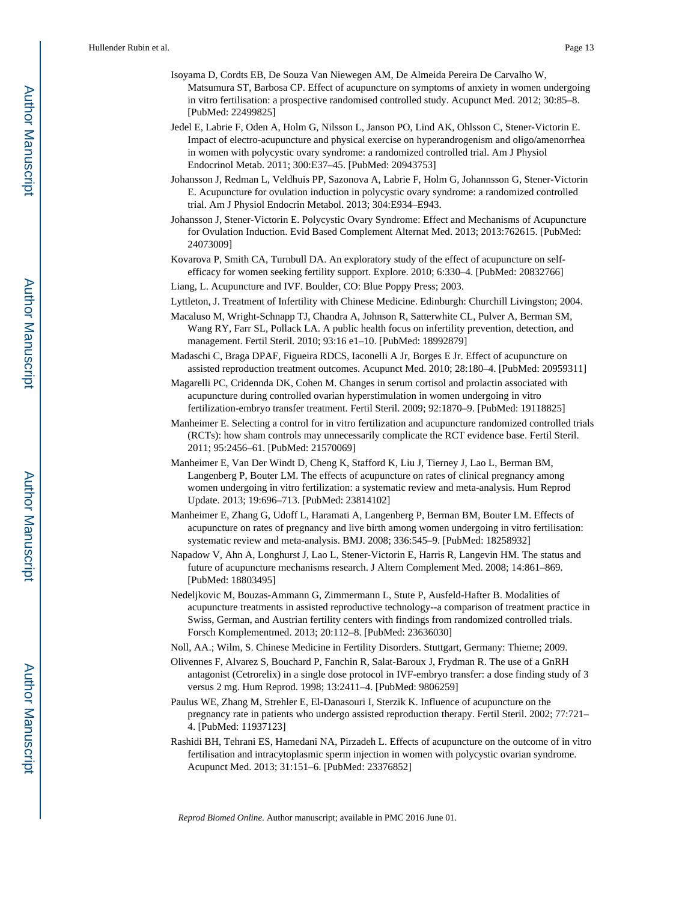- Isoyama D, Cordts EB, De Souza Van Niewegen AM, De Almeida Pereira De Carvalho W, Matsumura ST, Barbosa CP. Effect of acupuncture on symptoms of anxiety in women undergoing in vitro fertilisation: a prospective randomised controlled study. Acupunct Med. 2012; 30:85–8. [PubMed: 22499825]
- Jedel E, Labrie F, Oden A, Holm G, Nilsson L, Janson PO, Lind AK, Ohlsson C, Stener-Victorin E. Impact of electro-acupuncture and physical exercise on hyperandrogenism and oligo/amenorrhea in women with polycystic ovary syndrome: a randomized controlled trial. Am J Physiol Endocrinol Metab. 2011; 300:E37–45. [PubMed: 20943753]
- Johansson J, Redman L, Veldhuis PP, Sazonova A, Labrie F, Holm G, Johannsson G, Stener-Victorin E. Acupuncture for ovulation induction in polycystic ovary syndrome: a randomized controlled trial. Am J Physiol Endocrin Metabol. 2013; 304:E934–E943.
- Johansson J, Stener-Victorin E. Polycystic Ovary Syndrome: Effect and Mechanisms of Acupuncture for Ovulation Induction. Evid Based Complement Alternat Med. 2013; 2013:762615. [PubMed: 24073009]
- Kovarova P, Smith CA, Turnbull DA. An exploratory study of the effect of acupuncture on selfefficacy for women seeking fertility support. Explore. 2010; 6:330–4. [PubMed: 20832766]
- Liang, L. Acupuncture and IVF. Boulder, CO: Blue Poppy Press; 2003.
- Lyttleton, J. Treatment of Infertility with Chinese Medicine. Edinburgh: Churchill Livingston; 2004.
- Macaluso M, Wright-Schnapp TJ, Chandra A, Johnson R, Satterwhite CL, Pulver A, Berman SM, Wang RY, Farr SL, Pollack LA. A public health focus on infertility prevention, detection, and management. Fertil Steril. 2010; 93:16 e1–10. [PubMed: 18992879]
- Madaschi C, Braga DPAF, Figueira RDCS, Iaconelli A Jr, Borges E Jr. Effect of acupuncture on assisted reproduction treatment outcomes. Acupunct Med. 2010; 28:180–4. [PubMed: 20959311]
- Magarelli PC, Cridennda DK, Cohen M. Changes in serum cortisol and prolactin associated with acupuncture during controlled ovarian hyperstimulation in women undergoing in vitro fertilization-embryo transfer treatment. Fertil Steril. 2009; 92:1870–9. [PubMed: 19118825]
- Manheimer E. Selecting a control for in vitro fertilization and acupuncture randomized controlled trials (RCTs): how sham controls may unnecessarily complicate the RCT evidence base. Fertil Steril. 2011; 95:2456–61. [PubMed: 21570069]
- Manheimer E, Van Der Windt D, Cheng K, Stafford K, Liu J, Tierney J, Lao L, Berman BM, Langenberg P, Bouter LM. The effects of acupuncture on rates of clinical pregnancy among women undergoing in vitro fertilization: a systematic review and meta-analysis. Hum Reprod Update. 2013; 19:696–713. [PubMed: 23814102]
- Manheimer E, Zhang G, Udoff L, Haramati A, Langenberg P, Berman BM, Bouter LM. Effects of acupuncture on rates of pregnancy and live birth among women undergoing in vitro fertilisation: systematic review and meta-analysis. BMJ. 2008; 336:545–9. [PubMed: 18258932]
- Napadow V, Ahn A, Longhurst J, Lao L, Stener-Victorin E, Harris R, Langevin HM. The status and future of acupuncture mechanisms research. J Altern Complement Med. 2008; 14:861–869. [PubMed: 18803495]
- Nedeljkovic M, Bouzas-Ammann G, Zimmermann L, Stute P, Ausfeld-Hafter B. Modalities of acupuncture treatments in assisted reproductive technology--a comparison of treatment practice in Swiss, German, and Austrian fertility centers with findings from randomized controlled trials. Forsch Komplementmed. 2013; 20:112–8. [PubMed: 23636030]
- Noll, AA.; Wilm, S. Chinese Medicine in Fertility Disorders. Stuttgart, Germany: Thieme; 2009.
- Olivennes F, Alvarez S, Bouchard P, Fanchin R, Salat-Baroux J, Frydman R. The use of a GnRH antagonist (Cetrorelix) in a single dose protocol in IVF-embryo transfer: a dose finding study of 3 versus 2 mg. Hum Reprod. 1998; 13:2411–4. [PubMed: 9806259]
- Paulus WE, Zhang M, Strehler E, El-Danasouri I, Sterzik K. Influence of acupuncture on the pregnancy rate in patients who undergo assisted reproduction therapy. Fertil Steril. 2002; 77:721– 4. [PubMed: 11937123]
- Rashidi BH, Tehrani ES, Hamedani NA, Pirzadeh L. Effects of acupuncture on the outcome of in vitro fertilisation and intracytoplasmic sperm injection in women with polycystic ovarian syndrome. Acupunct Med. 2013; 31:151–6. [PubMed: 23376852]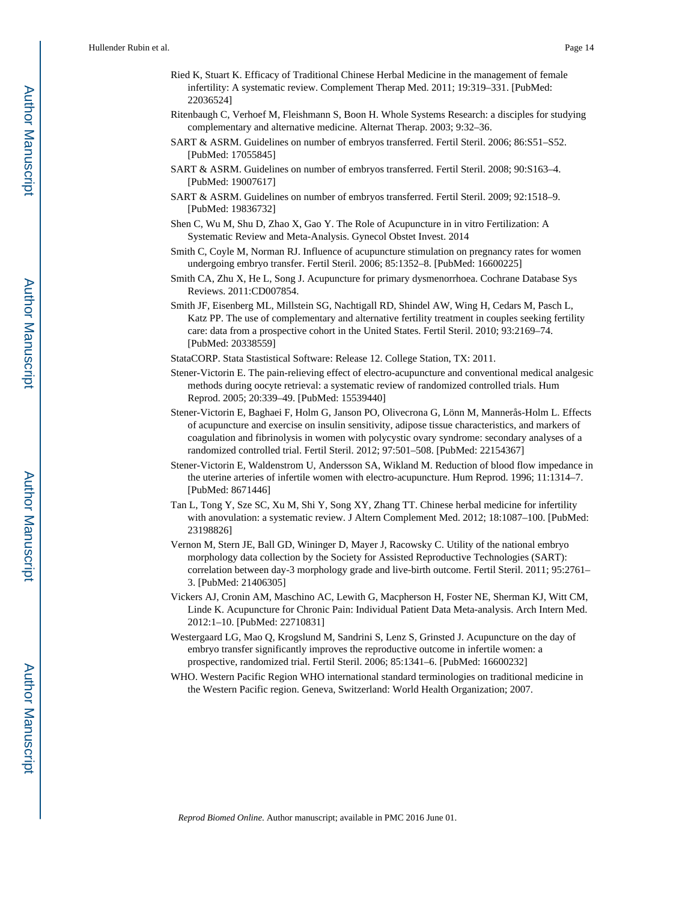- Ried K, Stuart K. Efficacy of Traditional Chinese Herbal Medicine in the management of female infertility: A systematic review. Complement Therap Med. 2011; 19:319–331. [PubMed: 22036524]
- Ritenbaugh C, Verhoef M, Fleishmann S, Boon H. Whole Systems Research: a disciples for studying complementary and alternative medicine. Alternat Therap. 2003; 9:32–36.
- SART & ASRM. Guidelines on number of embryos transferred. Fertil Steril. 2006; 86:S51–S52. [PubMed: 17055845]
- SART & ASRM. Guidelines on number of embryos transferred. Fertil Steril. 2008; 90:S163–4. [PubMed: 19007617]
- SART & ASRM. Guidelines on number of embryos transferred. Fertil Steril. 2009; 92:1518–9. [PubMed: 19836732]
- Shen C, Wu M, Shu D, Zhao X, Gao Y. The Role of Acupuncture in in vitro Fertilization: A Systematic Review and Meta-Analysis. Gynecol Obstet Invest. 2014
- Smith C, Coyle M, Norman RJ. Influence of acupuncture stimulation on pregnancy rates for women undergoing embryo transfer. Fertil Steril. 2006; 85:1352–8. [PubMed: 16600225]
- Smith CA, Zhu X, He L, Song J. Acupuncture for primary dysmenorrhoea. Cochrane Database Sys Reviews. 2011:CD007854.
- Smith JF, Eisenberg ML, Millstein SG, Nachtigall RD, Shindel AW, Wing H, Cedars M, Pasch L, Katz PP. The use of complementary and alternative fertility treatment in couples seeking fertility care: data from a prospective cohort in the United States. Fertil Steril. 2010; 93:2169–74. [PubMed: 20338559]
- StataCORP. Stata Stastistical Software: Release 12. College Station, TX: 2011.
- Stener-Victorin E. The pain-relieving effect of electro-acupuncture and conventional medical analgesic methods during oocyte retrieval: a systematic review of randomized controlled trials. Hum Reprod. 2005; 20:339–49. [PubMed: 15539440]
- Stener-Victorin E, Baghaei F, Holm G, Janson PO, Olivecrona G, Lönn M, Mannerås-Holm L. Effects of acupuncture and exercise on insulin sensitivity, adipose tissue characteristics, and markers of coagulation and fibrinolysis in women with polycystic ovary syndrome: secondary analyses of a randomized controlled trial. Fertil Steril. 2012; 97:501–508. [PubMed: 22154367]
- Stener-Victorin E, Waldenstrom U, Andersson SA, Wikland M. Reduction of blood flow impedance in the uterine arteries of infertile women with electro-acupuncture. Hum Reprod. 1996; 11:1314–7. [PubMed: 8671446]
- Tan L, Tong Y, Sze SC, Xu M, Shi Y, Song XY, Zhang TT. Chinese herbal medicine for infertility with anovulation: a systematic review. J Altern Complement Med. 2012; 18:1087–100. [PubMed: 23198826]
- Vernon M, Stern JE, Ball GD, Wininger D, Mayer J, Racowsky C. Utility of the national embryo morphology data collection by the Society for Assisted Reproductive Technologies (SART): correlation between day-3 morphology grade and live-birth outcome. Fertil Steril. 2011; 95:2761– 3. [PubMed: 21406305]
- Vickers AJ, Cronin AM, Maschino AC, Lewith G, Macpherson H, Foster NE, Sherman KJ, Witt CM, Linde K. Acupuncture for Chronic Pain: Individual Patient Data Meta-analysis. Arch Intern Med. 2012:1–10. [PubMed: 22710831]
- Westergaard LG, Mao Q, Krogslund M, Sandrini S, Lenz S, Grinsted J. Acupuncture on the day of embryo transfer significantly improves the reproductive outcome in infertile women: a prospective, randomized trial. Fertil Steril. 2006; 85:1341–6. [PubMed: 16600232]
- WHO. Western Pacific Region WHO international standard terminologies on traditional medicine in the Western Pacific region. Geneva, Switzerland: World Health Organization; 2007.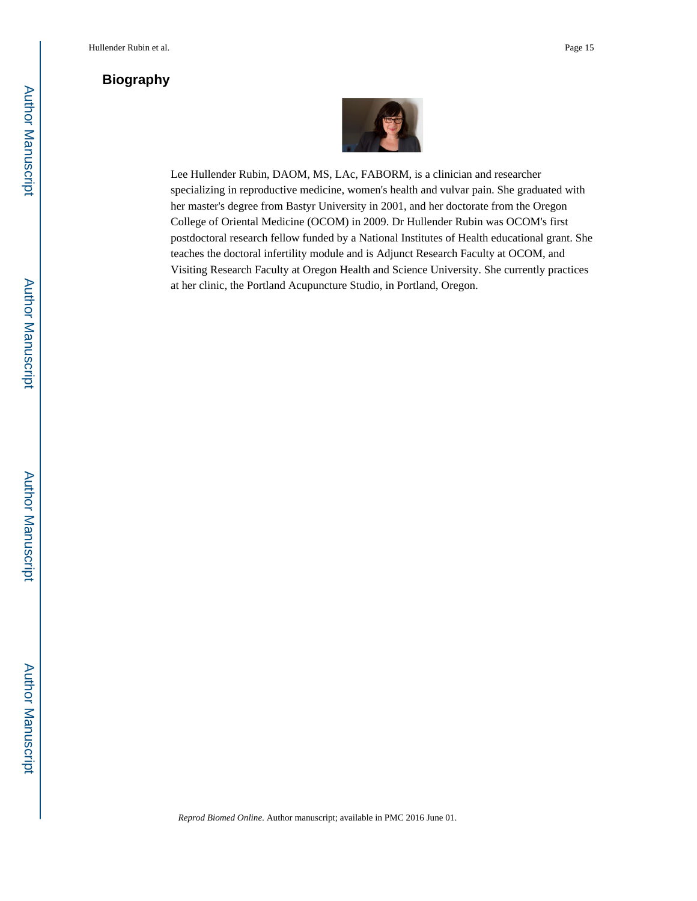# **Biography**



Lee Hullender Rubin, DAOM, MS, LAc, FABORM, is a clinician and researcher specializing in reproductive medicine, women's health and vulvar pain. She graduated with her master's degree from Bastyr University in 2001, and her doctorate from the Oregon College of Oriental Medicine (OCOM) in 2009. Dr Hullender Rubin was OCOM's first postdoctoral research fellow funded by a National Institutes of Health educational grant. She teaches the doctoral infertility module and is Adjunct Research Faculty at OCOM, and Visiting Research Faculty at Oregon Health and Science University. She currently practices at her clinic, the Portland Acupuncture Studio, in Portland, Oregon.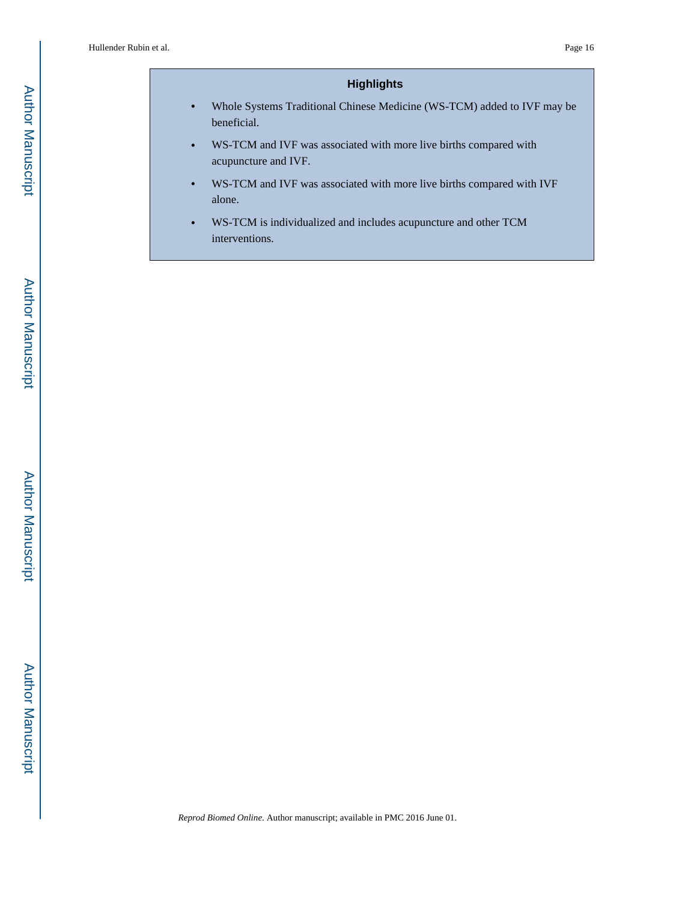# **Highlights**

- **•** Whole Systems Traditional Chinese Medicine (WS-TCM) added to IVF may be beneficial.
- **•** WS-TCM and IVF was associated with more live births compared with acupuncture and IVF.
- **•** WS-TCM and IVF was associated with more live births compared with IVF alone.
- **•** WS-TCM is individualized and includes acupuncture and other TCM interventions.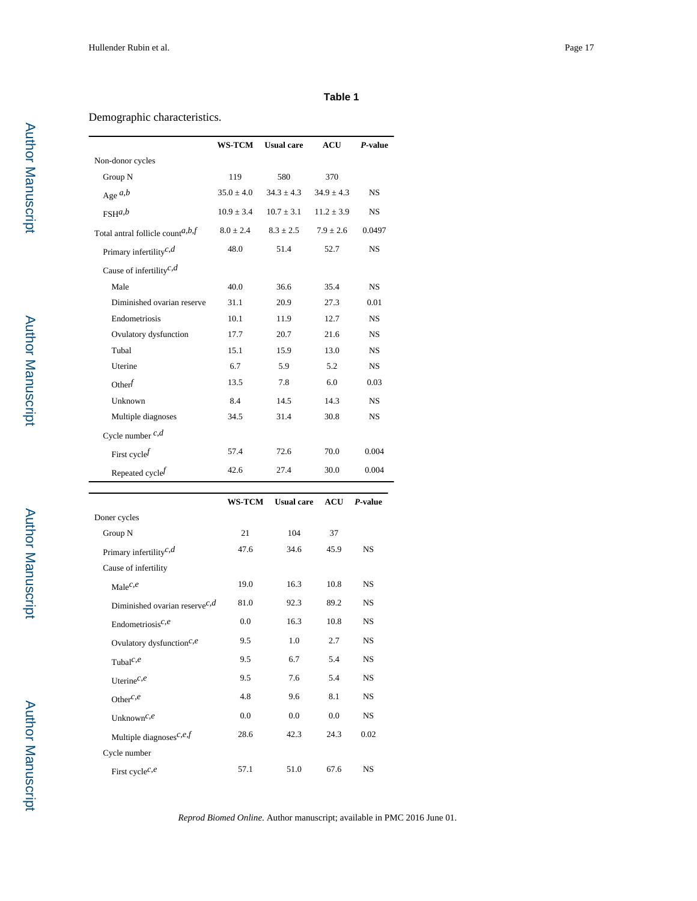## **Table 1**

# Demographic characteristics.

|                                     | <b>WS-TCM</b>  | <b>Usual</b> care | <b>ACU</b>     | P-value   |
|-------------------------------------|----------------|-------------------|----------------|-----------|
| Non-donor cycles                    |                |                   |                |           |
| Group N                             | 119            | 580               | 370            |           |
| Age $a,b$                           | $35.0 \pm 4.0$ | $34.3 \pm 4.3$    | $34.9 \pm 4.3$ | <b>NS</b> |
| $FSH^{a,b}$                         | $10.9 \pm 3.4$ | $10.7 \pm 3.1$    | $11.2 \pm 3.9$ | <b>NS</b> |
| Total antral follicle count $a,b$   | $8.0 \pm 2.4$  | $8.3 \pm 2.5$     | $7.9 \pm 2.6$  | 0.0497    |
| Primary infertility <sup>c,d</sup>  | 48.0           | 51.4              | 52.7           | <b>NS</b> |
| Cause of infertility <sup>c,d</sup> |                |                   |                |           |
| Male                                | 40.0           | 36.6              | 35.4           | <b>NS</b> |
| Diminished ovarian reserve          | 31.1           | 20.9              | 27.3           | 0.01      |
| Endometriosis                       | 10.1           | 11.9              | 12.7           | <b>NS</b> |
| Ovulatory dysfunction               | 17.7           | 20.7              | 21.6           | <b>NS</b> |
| Tubal                               | 15.1           | 15.9              | 13.0           | <b>NS</b> |
| Uterine                             | 6.7            | 5.9               | 5.2            | <b>NS</b> |
| Other $f$                           | 13.5           | 7.8               | 6.0            | 0.03      |
| Unknown                             | 8.4            | 14.5              | 14.3           | <b>NS</b> |
| Multiple diagnoses                  | 34.5           | 31.4              | 30.8           | <b>NS</b> |
| Cycle number $c,d$                  |                |                   |                |           |
| First cycle $f$                     | 57.4           | 72.6              | 70.0           | 0.004     |
| Repeated cycle $f$                  | 42.6           | 27.4              | 30.0           | 0.004     |
|                                     |                |                   |                |           |

|                                           | <b>WS-TCM</b> | <b>Usual care</b> | <b>ACU</b> | P-value   |
|-------------------------------------------|---------------|-------------------|------------|-----------|
| Doner cycles                              |               |                   |            |           |
| Group N                                   | 21            | 104               | 37         |           |
| Primary infertility <sup>c,d</sup>        | 47.6          | 34.6              | 45.9       | <b>NS</b> |
| Cause of infertility                      |               |                   |            |           |
| Male $c,e$                                | 19.0          | 16.3              | 10.8       | <b>NS</b> |
| Diminished ovarian reserve <sup>c,d</sup> | 81.0          | 92.3              | 89.2       | <b>NS</b> |
| Endometriosis <sup>c,e</sup>              | 0.0           | 16.3              | 10.8       | <b>NS</b> |
| Ovulatory dysfunction $c,e$               | 9.5           | 1.0               | 2.7        | <b>NS</b> |
| Tubal <sup><math>c,e</math></sup>         | 9.5           | 6.7               | 5.4        | <b>NS</b> |
| Uterine <sup><math>c,e</math></sup>       | 9.5           | 7.6               | 5.4        | <b>NS</b> |
| Other $c,e$                               | 4.8           | 9.6               | 8.1        | <b>NS</b> |
| Unknown <sup>c,e</sup>                    | $0.0\,$       | $0.0\,$           | 0.0        | <b>NS</b> |
| Multiple diagnoses <sup>c,e,f</sup>       | 28.6          | 42.3              | 24.3       | 0.02      |
| Cycle number                              |               |                   |            |           |
| First cycle <sup><math>c,e</math></sup>   | 57.1          | 51.0              | 67.6       | <b>NS</b> |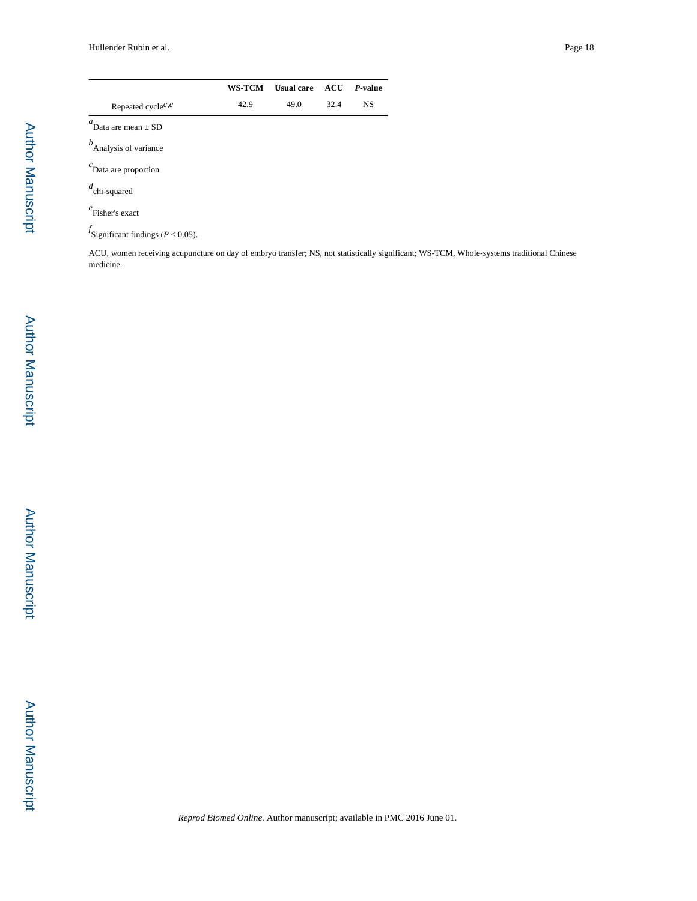|                                            | <b>WS-TCM</b> | <b>Usual care</b> | <b>ACU</b> | $P-value$ |
|--------------------------------------------|---------------|-------------------|------------|-----------|
| Repeated cycle <sup><math>c,e</math></sup> | 42.9          | 49.0              | 32.4       | <b>NS</b> |
| $\mathfrak{a}$ .<br>Data are mean $\pm$ SD |               |                   |            |           |
| b<br>Analysis of variance                  |               |                   |            |           |
| $c$ Data are proportion                    |               |                   |            |           |
| $d$ <sub>chi-squared</sub>                 |               |                   |            |           |
| Fisher's exact                             |               |                   |            |           |

*f* Significant findings (*P* < 0.05).

ACU, women receiving acupuncture on day of embryo transfer; NS, not statistically significant; WS-TCM, Whole-systems traditional Chinese medicine.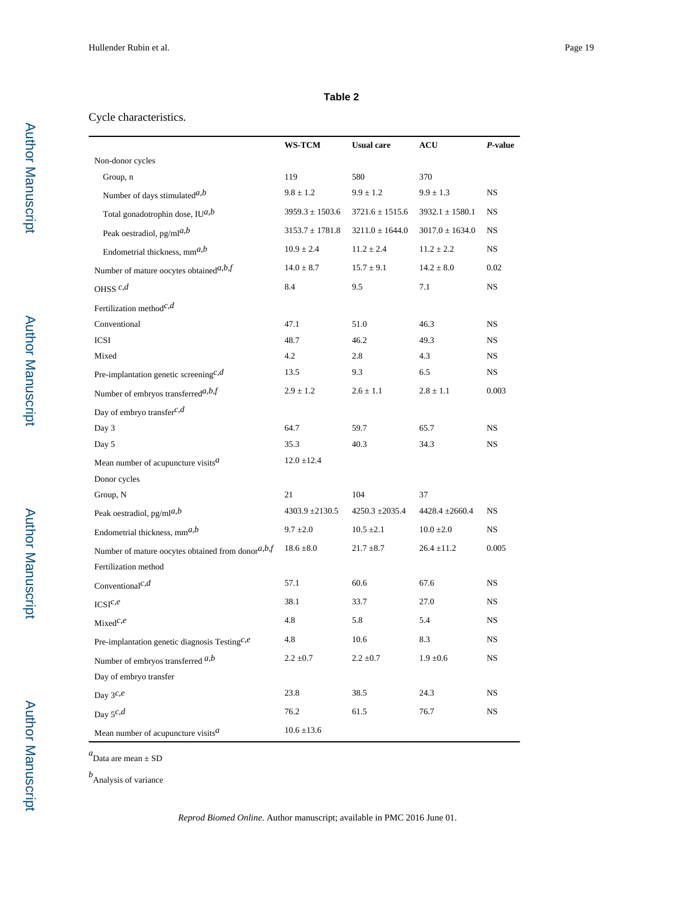## **Table 2**

# Cycle characteristics.

|                                                        | <b>WS-TCM</b>       | <b>Usual care</b>   | ACU                 | P-value     |
|--------------------------------------------------------|---------------------|---------------------|---------------------|-------------|
| Non-donor cycles                                       |                     |                     |                     |             |
| Group, n                                               | 119                 | 580                 | 370                 |             |
| Number of days stimulated <sup><i>a</i>,<i>b</i></sup> | $9.8 \pm 1.2$       | $9.9 \pm 1.2$       | $9.9 \pm 1.3$       | NS.         |
| Total gonadotrophin dose, $IU^{a,b}$                   | $3959.3 \pm 1503.6$ | $3721.6 \pm 1515.6$ | $3932.1 \pm 1580.1$ | NS.         |
| Peak oestradiol, $pg/ml^{a,b}$                         | $3153.7 \pm 1781.8$ | $3211.0 \pm 1644.0$ | $3017.0 \pm 1634.0$ | <b>NS</b>   |
| Endometrial thickness, $mm^{a,b}$                      | $10.9 \pm 2.4$      | $11.2 \pm 2.4$      | $11.2 \pm 2.2$      | NS          |
| Number of mature oocytes obtained $a,b$ $f$            | $14.0 \pm 8.7$      | $15.7 \pm 9.1$      | $14.2 \pm 8.0$      | 0.02        |
| OHSS $c,d$                                             | 8.4                 | 9.5                 | 7.1                 | NS.         |
| Fertilization method <sup>c,d</sup>                    |                     |                     |                     |             |
| Conventional                                           | 47.1                | 51.0                | 46.3                | NS          |
| <b>ICSI</b>                                            | 48.7                | 46.2                | 49.3                | NS.         |
| Mixed                                                  | 4.2                 | 2.8                 | 4.3                 | NS.         |
| Pre-implantation genetic screening <sup>c,d</sup>      | 13.5                | 9.3                 | 6.5                 | NS          |
| Number of embryos transferred <sup>a,b,f</sup>         | $2.9 \pm 1.2$       | $2.6 \pm 1.1$       | $2.8 \pm 1.1$       | 0.003       |
| Day of embryo transfer <sup>c,d</sup>                  |                     |                     |                     |             |
| Day 3                                                  | 64.7                | 59.7                | 65.7                | NS.         |
| Day 5                                                  | 35.3                | 40.3                | 34.3                | NS          |
| Mean number of acupuncture visits $^a$                 | $12.0 \pm 12.4$     |                     |                     |             |
| Donor cycles                                           |                     |                     |                     |             |
| Group, N                                               | 21                  | 104                 | 37                  |             |
| Peak oestradiol, $pg/ml^{a,b}$                         | $4303.9 \pm 2130.5$ | $4250.3 \pm 2035.4$ | $4428.4 \pm 2660.4$ | NS.         |
| Endometrial thickness, $mm^{a,b}$                      | $9.7 \pm 2.0$       | $10.5 \pm 2.1$      | $10.0 \pm 2.0$      | NS.         |
| Number of mature oocytes obtained from donor $a,b,f$   | $18.6 \pm 8.0$      | $21.7 \pm 8.7$      | $26.4 \pm 11.2$     | 0.005       |
| Fertilization method                                   |                     |                     |                     |             |
| Conventional <sup>c,d</sup>                            | 57.1                | 60.6                | 67.6                | NS.         |
| $ICSI^{c,e}$                                           | 38.1                | 33.7                | 27.0                | <b>NS</b>   |
| $Mixed^{c,e}$                                          | 4.8                 | 5.8                 | 5.4                 | NS.         |
| Pre-implantation genetic diagnosis Testing $c.e$       | 4.8                 | 10.6                | 8.3                 | NS          |
| Number of embryos transferred $a,b$                    | $2.2 \pm 0.7$       | $2.2 \pm 0.7$       | $1.9 \pm 0.6$       | <b>NS</b>   |
| Day of embryo transfer                                 |                     |                     |                     |             |
| Day $3^{c,e}$                                          | 23.8                | 38.5                | 24.3                | NS          |
| Day $5^{c,d}$                                          | 76.2                | 61.5                | 76.7                | $_{\rm NS}$ |
| Mean number of acupuncture visits $^a$                 | $10.6 \pm 13.6$     |                     |                     |             |

*a* Data are mean ± SD

*b* Analysis of variance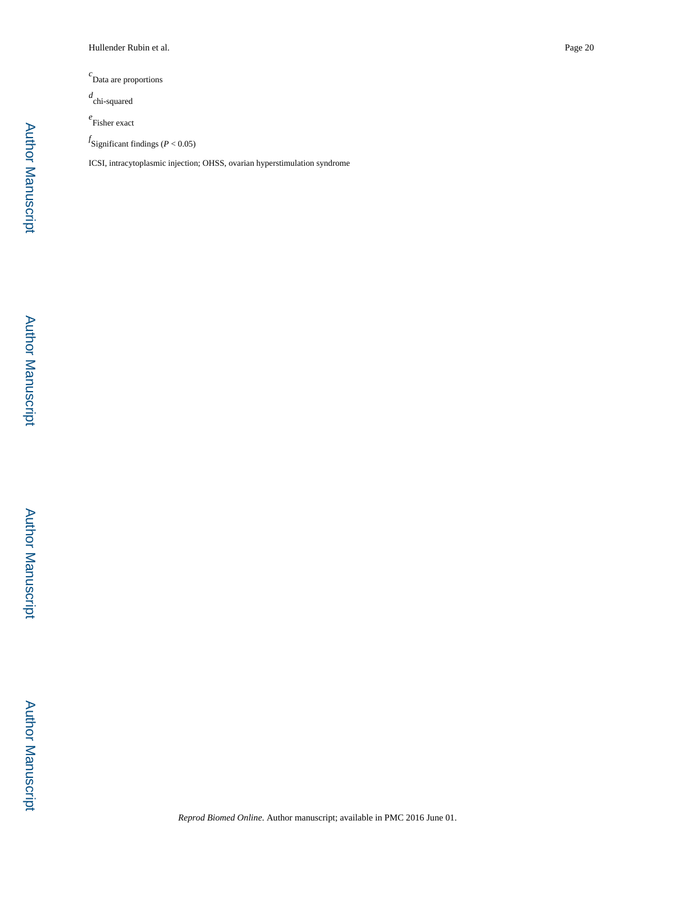*c* Data are proportions

*d* chi-squared

*e* Fisher exact

*f* Significant findings (*P* < 0.05)

ICSI, intracytoplasmic injection; OHSS, ovarian hyperstimulation syndrome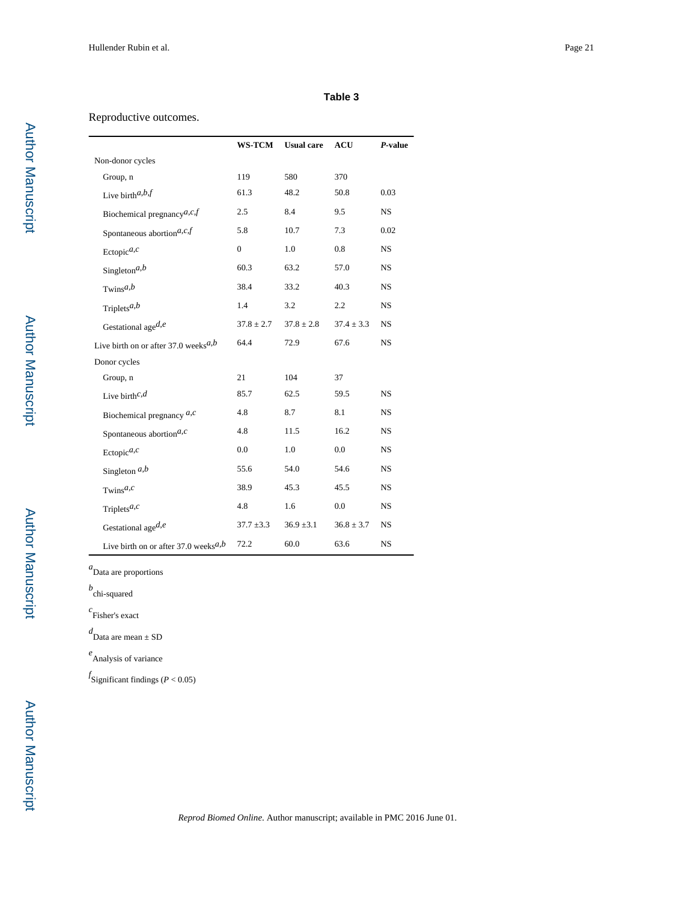#### **Table 3**

## Reproductive outcomes.

|                                         | <b>WS-TCM</b>  | <b>Usual care</b> | <b>ACU</b>     | $P$ -value |
|-----------------------------------------|----------------|-------------------|----------------|------------|
| Non-donor cycles                        |                |                   |                |            |
| Group, n                                | 119            | 580               | 370            |            |
| Live birth $a,b$ f                      | 61.3           | 48.2              | 50.8           | 0.03       |
| Biochemical pregnancy $a, c, f$         | 2.5            | 8.4               | 9.5            | <b>NS</b>  |
| Spontaneous abortion $\real^{a,c,f}$    | 5.8            | 10.7              | 7.3            | 0.02       |
| Ectopic $a,c$                           | $\overline{0}$ | 1.0               | 0.8            | <b>NS</b>  |
| Singleton <sup><math>a,b</math></sup>   | 60.3           | 63.2              | 57.0           | <b>NS</b>  |
| $Twins^{a,b}$                           | 38.4           | 33.2              | 40.3           | <b>NS</b>  |
| Triplets <sup><math>a,b</math></sup>    | 1.4            | 3.2               | 2.2            | <b>NS</b>  |
| Gestational age $d,e$                   | $37.8 \pm 2.7$ | $37.8 \pm 2.8$    | $37.4 \pm 3.3$ | <b>NS</b>  |
| Live birth on or after 37.0 weeks $a,b$ | 64.4           | 72.9              | 67.6           | <b>NS</b>  |
| Donor cycles                            |                |                   |                |            |
| Group, n                                | 21             | 104               | 37             |            |
| Live birth $c,d$                        | 85.7           | 62.5              | 59.5           | <b>NS</b>  |
| Biochemical pregnancy $a,c$             | 4.8            | 8.7               | 8.1            | <b>NS</b>  |
| Spontaneous abortion $a,c$              | 4.8            | 11.5              | 16.2           | <b>NS</b>  |
| Ectopic $a,c$                           | 0.0            | 1.0               | 0.0            | <b>NS</b>  |
| Singleton $a,b$                         | 55.6           | 54.0              | 54.6           | <b>NS</b>  |
| Twins <sup><math>a,c</math></sup>       | 38.9           | 45.3              | 45.5           | <b>NS</b>  |
| Triplets <sup><math>a,c</math></sup>    | 4.8            | 1.6               | 0.0            | <b>NS</b>  |
| Gestational age $d,e$                   | $37.7 \pm 3.3$ | $36.9 \pm 3.1$    | $36.8 \pm 3.7$ | <b>NS</b>  |
| Live birth on or after 37.0 weeks $a,b$ | 72.2           | 60.0              | 63.6           | <b>NS</b>  |

*a* Data are proportions

*b* chi-squared

*c* Fisher's exact

*d* Data are mean ± SD

*e* Analysis of variance

*f* Significant findings (*P* < 0.05)